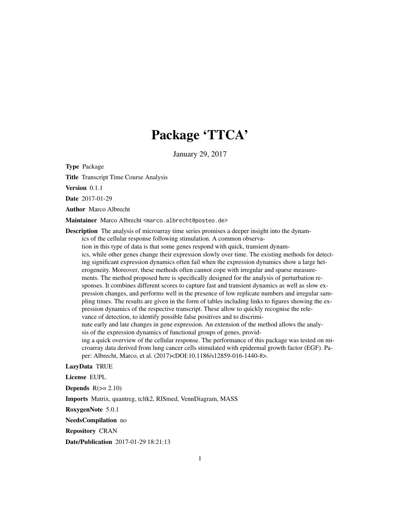# Package 'TTCA'

January 29, 2017

Type Package

Title Transcript Time Course Analysis

Version 0.1.1

Date 2017-01-29

Author Marco Albrecht

Maintainer Marco Albrecht <marco.albrecht@posteo.de>

Description The analysis of microarray time series promises a deeper insight into the dynamics of the cellular response following stimulation. A common observation in this type of data is that some genes respond with quick, transient dynamics, while other genes change their expression slowly over time. The existing methods for detecting significant expression dynamics often fail when the expression dynamics show a large heterogeneity. Moreover, these methods often cannot cope with irregular and sparse measurements. The method proposed here is specifically designed for the analysis of perturbation responses. It combines different scores to capture fast and transient dynamics as well as slow expression changes, and performs well in the presence of low replicate numbers and irregular sampling times. The results are given in the form of tables including links to figures showing the expression dynamics of the respective transcript. These allow to quickly recognise the relevance of detection, to identify possible false positives and to discriminate early and late changes in gene expression. An extension of the method allows the analysis of the expression dynamics of functional groups of genes, providing a quick overview of the cellular response. The performance of this package was tested on microarray data derived from lung cancer cells stimulated with epidermal growth factor (EGF). Paper: Albrecht, Marco, et al. (2017)<DOI:10.1186/s12859-016-1440-8>.

#### LazyData TRUE

License EUPL

**Depends**  $R(>= 2.10)$ 

Imports Matrix, quantreg, tcltk2, RISmed, VennDiagram, MASS

RoxygenNote 5.0.1

NeedsCompilation no

Repository CRAN

Date/Publication 2017-01-29 18:21:13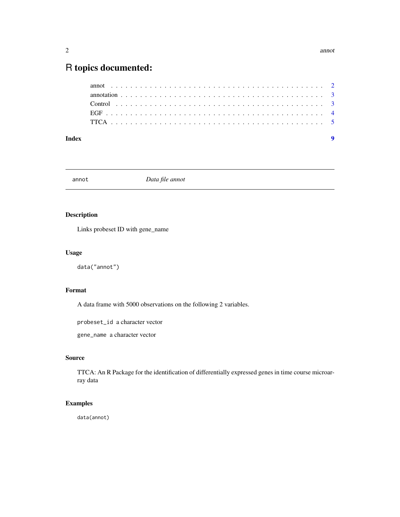#### <span id="page-1-0"></span>2 annot annot annot annot annot annot annot annot annot annot annot annot annot annot annot annot annot anno

## R topics documented:

| Index |  |  |
|-------|--|--|
|       |  |  |
|       |  |  |
|       |  |  |
|       |  |  |
|       |  |  |

annot *Data file annot*

#### Description

Links probeset ID with gene\_name

#### Usage

data("annot")

#### Format

A data frame with 5000 observations on the following 2 variables.

probeset\_id a character vector

gene\_name a character vector

#### Source

TTCA: An R Package for the identification of differentially expressed genes in time course microarray data

#### Examples

data(annot)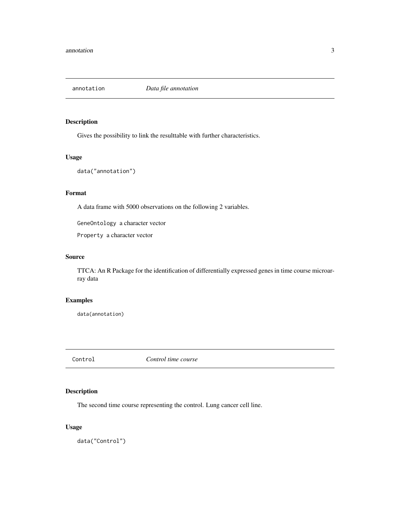<span id="page-2-0"></span>

#### Description

Gives the possibility to link the resulttable with further characteristics.

#### Usage

data("annotation")

#### Format

A data frame with 5000 observations on the following 2 variables.

GeneOntology a character vector

Property a character vector

#### Source

TTCA: An R Package for the identification of differentially expressed genes in time course microarray data

#### Examples

data(annotation)

Control *Control time course*

### Description

The second time course representing the control. Lung cancer cell line.

#### Usage

data("Control")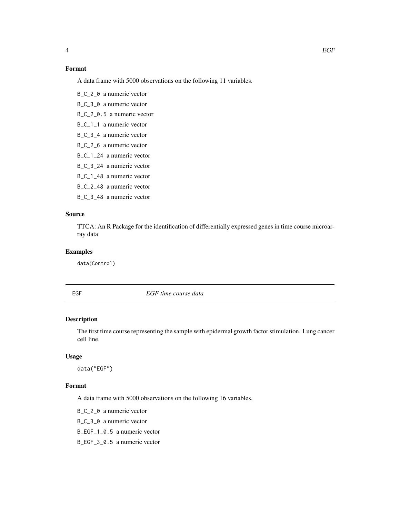### <span id="page-3-0"></span>Format

A data frame with 5000 observations on the following 11 variables.

B\_C\_2\_0 a numeric vector B\_C\_3\_0 a numeric vector

B\_C\_2\_0.5 a numeric vector

B\_C\_1\_1 a numeric vector

B\_C\_3\_4 a numeric vector

B\_C\_2\_6 a numeric vector

B\_C\_1\_24 a numeric vector

B\_C\_3\_24 a numeric vector

B\_C\_1\_48 a numeric vector

B\_C\_2\_48 a numeric vector

B\_C\_3\_48 a numeric vector

#### Source

TTCA: An R Package for the identification of differentially expressed genes in time course microarray data

#### Examples

data(Control)

EGF *EGF time course data*

#### Description

The first time course representing the sample with epidermal growth factor stimulation. Lung cancer cell line.

#### Usage

data("EGF")

#### Format

A data frame with 5000 observations on the following 16 variables.

B\_C\_2\_0 a numeric vector

B\_C\_3\_0 a numeric vector

B\_EGF\_1\_0.5 a numeric vector

B\_EGF\_3\_0.5 a numeric vector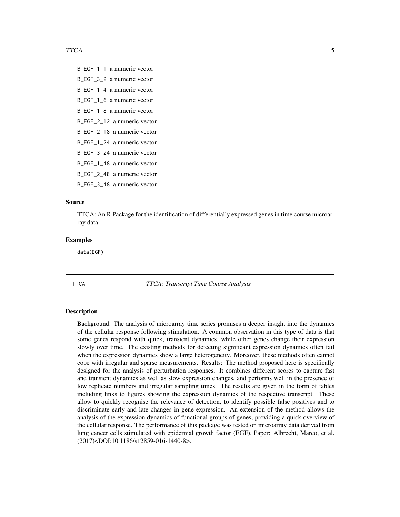<span id="page-4-0"></span>B\_EGF\_1\_1 a numeric vector B\_EGF\_3\_2 a numeric vector B\_EGF\_1\_4 a numeric vector B\_EGF\_1\_6 a numeric vector B\_EGF\_1\_8 a numeric vector B\_EGF\_2\_12 a numeric vector B\_EGF\_2\_18 a numeric vector B\_EGF\_1\_24 a numeric vector B\_EGF\_3\_24 a numeric vector B\_EGF\_1\_48 a numeric vector B\_EGF\_2\_48 a numeric vector B\_EGF\_3\_48 a numeric vector

#### Source

TTCA: An R Package for the identification of differentially expressed genes in time course microarray data

#### Examples

data(EGF)

#### TTCA *TTCA: Transcript Time Course Analysis*

#### Description

Background: The analysis of microarray time series promises a deeper insight into the dynamics of the cellular response following stimulation. A common observation in this type of data is that some genes respond with quick, transient dynamics, while other genes change their expression slowly over time. The existing methods for detecting significant expression dynamics often fail when the expression dynamics show a large heterogeneity. Moreover, these methods often cannot cope with irregular and sparse measurements. Results: The method proposed here is specifically designed for the analysis of perturbation responses. It combines different scores to capture fast and transient dynamics as well as slow expression changes, and performs well in the presence of low replicate numbers and irregular sampling times. The results are given in the form of tables including links to figures showing the expression dynamics of the respective transcript. These allow to quickly recognise the relevance of detection, to identify possible false positives and to discriminate early and late changes in gene expression. An extension of the method allows the analysis of the expression dynamics of functional groups of genes, providing a quick overview of the cellular response. The performance of this package was tested on microarray data derived from lung cancer cells stimulated with epidermal growth factor (EGF). Paper: Albrecht, Marco, et al. (2017)<DOI:10.1186/s12859-016-1440-8>.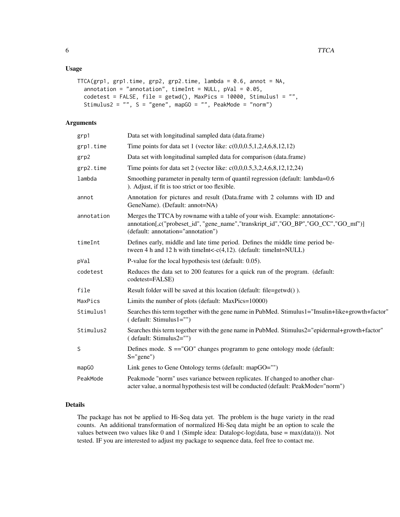#### Usage

```
TTCA(grp1, grp1.time, grp2, grp2.time, lambda = 0.6, annot = NA,
 annotation = "annotation", timeInt = NULL, pVal = 0.05,
  codetest = FALSE, file = getwd(), MaxPics = 10000, Stimulus1 = "",
 Stimulus2 = "", S = "gene", mapGO = "", PeakMode = "norm")
```
### Arguments

| grp1       | Data set with longitudinal sampled data (data.frame)                                                                                                                                                    |
|------------|---------------------------------------------------------------------------------------------------------------------------------------------------------------------------------------------------------|
| grp1.time  | Time points for data set 1 (vector like: $c(0,0,0.5,1,2,4,6,8,12,12)$ )                                                                                                                                 |
| grp2       | Data set with longitudinal sampled data for comparison (data.frame)                                                                                                                                     |
| grp2.time  | Time points for data set 2 (vector like: $c(0,0,0.5,3,2,4,6,8,12,12,24)$ )                                                                                                                              |
| lambda     | Smoothing parameter in penalty term of quantil regression (default: lambda=0.6)<br>). Adjust, if fit is too strict or too flexible.                                                                     |
| annot      | Annotation for pictures and result (Data.frame with 2 columns with ID and<br>GeneName). (Default: annot=NA)                                                                                             |
| annotation | Merges the TTCA by rowname with a table of your wish. Example: annotation<-<br>annotation[,c("probeset_id", "gene_name","transkript_id","GO_BP","GO_CC","GO_mf")]<br>(default: annotation="annotation") |
| timeInt    | Defines early, middle and late time period. Defines the middle time period be-<br>tween 4 h and 12 h with time Int < $-c(4,12)$ . (default: time Int = NULL)                                            |
| pVal       | P-value for the local hypothesis test (default: 0.05).                                                                                                                                                  |
| codetest   | Reduces the data set to 200 features for a quick run of the program. (default:<br>codetest=FALSE)                                                                                                       |
| file       | Result folder will be saved at this location (default: file=getwd()).                                                                                                                                   |
| MaxPics    | Limits the number of plots (default: MaxPics=10000)                                                                                                                                                     |
| Stimulus1  | Searches this term together with the gene name in PubMed. Stimulus1="Insulin+like+growth+factor"<br>(default: Stimulus1="")                                                                             |
| Stimulus2  | Searches this term together with the gene name in PubMed. Stimulus2="epidermal+growth+factor"<br>(default: Stimulus2="")                                                                                |
| S          | Defines mode. $S = "GO"$ changes programm to gene ontology mode (default:<br>$S="green" gene"$                                                                                                          |
| mapGO      | Link genes to Gene Ontology terms (default: mapGO="")                                                                                                                                                   |
| PeakMode   | Peakmode "norm" uses variance between replicates. If changed to another char-<br>acter value, a normal hypothesis test will be conducted (default: PeakMode="norm")                                     |
|            |                                                                                                                                                                                                         |

#### Details

The package has not be applied to Hi-Seq data yet. The problem is the huge variety in the read counts. An additional transformation of normalized Hi-Seq data might be an option to scale the values between two values like 0 and 1 (Simple idea: Datalog<-log(data, base = max(data))). Not tested. IF you are interested to adjust my package to sequence data, feel free to contact me.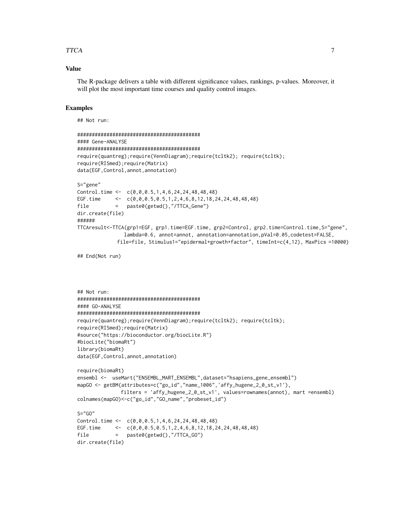#### TTCA 7

#### Value

The R-package delivers a table with different significance values, rankings, p-values. Moreover, it will plot the most important time courses and quality control images.

#### Examples

```
## Not run:
```
dir.create(file)

```
##########################################
#### Gene-ANALYSE
##########################################
require(quantreg);require(VennDiagram);require(tcltk2); require(tcltk);
require(RISmed);require(Matrix)
data(EGF,Control,annot,annotation)
S="gene"
Control.time <- c(0,0,0.5,1,4,6,24,24,48,48,48)
EGF.time <- c(0,0,0.5,0.5,1,2,4,6,8,12,18,24,24,48,48,48)
file = paste0(getwd(),"/TTCA_Gene")
dir.create(file)
######
TTCAresult<-TTCA(grp1=EGF, grp1.time=EGF.time, grp2=Control, grp2.time=Control.time,S="gene",
               lambda=0.6, annot=annot, annotation=annotation,pVal=0.05,codetest=FALSE,
             file=file, Stimulus1="epidermal+growth+factor", timeInt=c(4,12), MaxPics =10000)
## End(Not run)
```

```
## Not run:
##########################################
#### GO-ANALYSE
##########################################
require(quantreg);require(VennDiagram);require(tcltk2); require(tcltk);
require(RISmed);require(Matrix)
#source("https://bioconductor.org/biocLite.R")
#biocLite("biomaRt")
library(biomaRt)
data(EGF,Control,annot,annotation)
```

```
require(biomaRt)
ensembl <- useMart("ENSEMBL_MART_ENSEMBL",dataset="hsapiens_gene_ensembl")
mapGO <- getBM(attributes=c("go_id","name_1006",'affy_hugene_2_0_st_v1'),
              filters = 'affy_hugene_2_0_st_v1', values=rownames(annot), mart =ensembl)
colnames(mapGO)<-c("go_id","GO_name","probeset_id")
S="GG"Control.time \leftarrow c(0,0,0.5,1,4,6,24,24,48,48,48)
EGF.time <- c(0,0,0.5,0.5,1,2,4,6,8,12,18,24,24,48,48,48)
file = paste0(getwd(),"/TTCA_GO")
```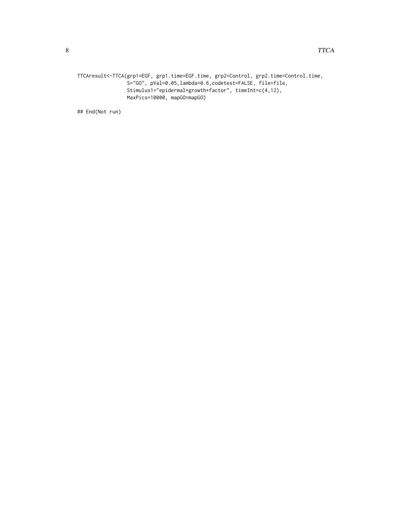```
TTCAresult<-TTCA(grp1=EGF, grp1.time=EGF.time, grp2=Control, grp2.time=Control.time,
                 S="GO", pVal=0.05,lambda=0.6,codetest=FALSE, file=file,
                 Stimulus1="epidermal+growth+factor", timeInt=c(4,12),
                MaxPics=10000, mapGO=mapGO)
```
## End(Not run)